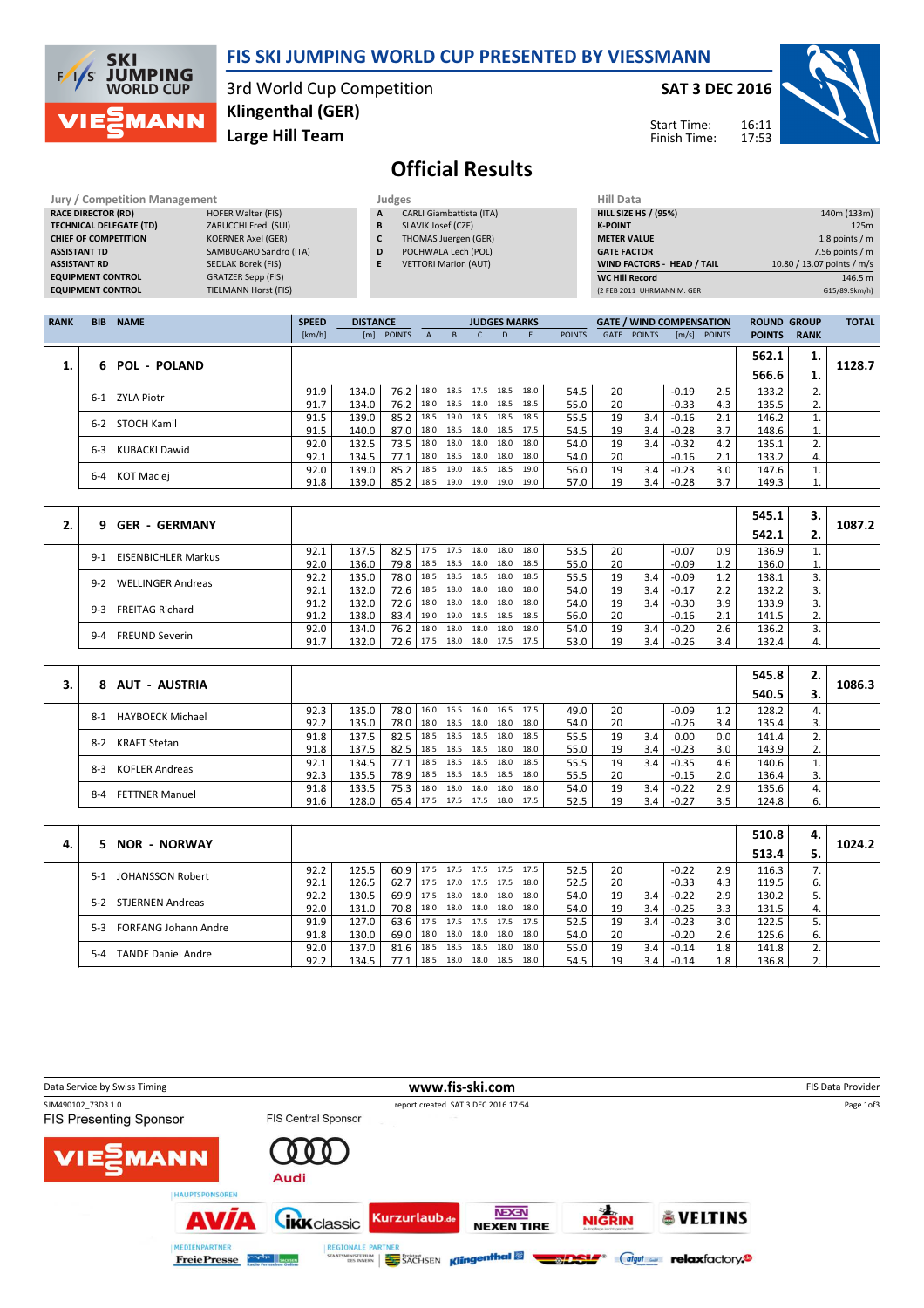

## FIS SKI JUMPING WORLD CUP PRESENTED BY VIESSMANN

3rd World Cup Competition Large Hill Team Klingenthal (GER)

#### SAT 3 DEC 2016

Start Time: Finish Time:



# Official Results

| <b>Jury / Competition Management</b> |                             |   | Judges                          | <b>Hill Data</b>   |
|--------------------------------------|-----------------------------|---|---------------------------------|--------------------|
| <b>RACE DIRECTOR (RD)</b>            | <b>HOFER Walter (FIS)</b>   | A | <b>CARLI Giambattista (ITA)</b> | <b>HILL SIZE H</b> |
| <b>TECHNICAL DELEGATE (TD)</b>       | ZARUCCHI Fredi (SUI)        | B | SLAVIK Josef (CZE)              | <b>K-POINT</b>     |
| <b>CHIEF OF COMPETITION</b>          | <b>KOERNER Axel (GER)</b>   | C | THOMAS Juergen (GER)            | <b>METER VAI</b>   |
| <b>ASSISTANT TD</b>                  | SAMBUGARO Sandro (ITA)      | D | POCHWALA Lech (POL)             | <b>GATE FACT</b>   |
| <b>ASSISTANT RD</b>                  | <b>SEDLAK Borek (FIS)</b>   |   | <b>VETTORI Marion (AUT)</b>     | <b>WIND FACT</b>   |
| <b>EQUIPMENT CONTROL</b>             | <b>GRATZER Sepp (FIS)</b>   |   |                                 | <b>WC Hill Red</b> |
| <b>EQUIPMENT CONTROL</b>             | <b>TIELMANN Horst (FIS)</b> |   |                                 | (2 FEB 2011 )      |

| Hill Data                         |                            |
|-----------------------------------|----------------------------|
| <b>HILL SIZE HS / (95%)</b>       | 140m (133m)                |
| <b>K-POINT</b>                    | 125m                       |
| <b>METER VALUE</b>                | 1.8 points $/m$            |
| <b>GATE FACTOR</b>                | 7.56 points $/m$           |
| <b>WIND FACTORS - HEAD / TAIL</b> | 10.80 / 13.07 points / m/s |
| <b>WC Hill Record</b>             | 146.5 m                    |
| (2 FEB 2011 UHRMANN M. GER        | G15/89.9km/h)              |

| <b>RANK</b> | <b>BIB</b> | <b>NAME</b>         | <b>SPEED</b> | <b>DISTANCE</b> |            |              |    | <b>JUDGES MARKS</b>      |    |                     |               |      | <b>GATE / WIND COMPENSATION</b> |         |                | <b>ROUND GROUP</b> |             | <b>TOTAL</b> |
|-------------|------------|---------------------|--------------|-----------------|------------|--------------|----|--------------------------|----|---------------------|---------------|------|---------------------------------|---------|----------------|--------------------|-------------|--------------|
|             |            |                     | [km/h]       |                 | [m] POINTS | $\mathsf{A}$ | B. | C.                       | D. | F.                  | <b>POINTS</b> | GATE | <b>POINTS</b>                   |         | $[m/s]$ POINTS | <b>POINTS</b>      | <b>RANK</b> |              |
|             |            |                     |              |                 |            |              |    |                          |    |                     |               |      |                                 |         |                | 562.1              | 1.          |              |
|             | 6.         | <b>POL - POLAND</b> |              |                 |            |              |    |                          |    |                     |               |      |                                 |         |                | 566.6              |             | 1128.7       |
|             | 6-1        | ZYLA Piotr          | 91.9         | 134.0           | 76.2       | 18.0         |    |                          |    | 18.5 17.5 18.5 18.0 | 54.5          | 20   |                                 | $-0.19$ | 2.5            | 133.2              | 2.          |              |
|             |            |                     | 91.7         | 134.0           | 76.2       | 18.0         |    | 18.5 18.0 18.5           |    | 18.5                | 55.0          | 20   |                                 | $-0.33$ | 4.3            | 135.5              | 2.          |              |
|             | $6 - 2$    | STOCH Kamil         | 91.5         | 139.0           | 85.2       | 18.5         |    | 19.0 18.5 18.5           |    | 18.5                | 55.5          | 19   | 3.4                             | $-0.16$ | 2.1            | 146.2              |             |              |
|             |            |                     | 91.5         | 140.0           | 87.0       |              |    | 18.0 18.5 18.0 18.5 17.5 |    |                     | 54.5          | 19   | 3.4                             | $-0.28$ | 3.7            | 148.6              | ī.          |              |
|             | $6 - 3$    | KUBACKI Dawid       | 92.0         | 132.5           | 73.5       | 18.0         |    | 18.0 18.0 18.0           |    | 18.0                | 54.0          | 19   | 3.4                             | $-0.32$ | 4.2            | 135.1              | 2.          |              |
|             |            |                     | 92.1         | 134.5           | 77.1       |              |    | 18.0 18.5 18.0 18.0      |    | 18.0                | 54.0          | 20   |                                 | $-0.16$ | 2.1            | 133.2              | 4.          |              |
|             | $6 - 4$    | KOT Maciej          | 92.0         | 139.0           | 85.2       | 18.5         |    | 19.0 18.5 18.5           |    | 19.0                | 56.0          | 19   | 3.4                             | $-0.23$ | 3.0            | 147.6              |             |              |
|             |            |                     | 91.8         | 139.0           | 85.2       | 18.5         |    | 19.0 19.0 19.0           |    | 19.0                | 57.0          | 19   | 3.4                             | $-0.28$ |                | 149.3              | ı.          |              |

| <b>GER - GERMANY</b>                  |      |       |               |      |      |      |                     |      |      |    |     |         |     | 545.1 |    | 1087.2 |
|---------------------------------------|------|-------|---------------|------|------|------|---------------------|------|------|----|-----|---------|-----|-------|----|--------|
| 9.                                    |      |       |               |      |      |      |                     |      |      |    |     |         |     | 542.1 |    |        |
| <b>EISENBICHLER Markus</b><br>$9 - 1$ | 92.1 | 137.5 | $82.5$   17.5 |      | 17.5 | 18.0 | 18.0                | 18.0 | 53.5 | 20 |     | $-0.07$ | 0.9 | 136.9 |    |        |
|                                       | 92.0 | 136.0 | 79.8 18.5     |      | 18.5 |      | 18.0 18.0 18.5      |      | 55.0 | 20 |     | $-0.09$ | 1.2 | 136.0 |    |        |
| <b>WELLINGER Andreas</b><br>$9-2$     | 92.2 | 135.0 | 78.0 18.5     |      | 18.5 |      | 18.5 18.0 18.5      |      | 55.5 | 19 | 3.4 | $-0.09$ | 1.2 | 138.1 |    |        |
|                                       | 92.1 | 132.0 | 72.6          | 18.5 | 18.0 |      | 18.0 18.0           | 18.0 | 54.0 | 19 | 3.4 | $-0.17$ | 2.2 | 132.2 | 3. |        |
| <b>FREITAG Richard</b><br>$9-3$       | 91.2 | 132.0 | 72.6   18.0   |      | 18.0 |      | 18.0 18.0 18.0      |      | 54.0 | 19 | 3.4 | $-0.30$ | 3.9 | 133.9 |    |        |
|                                       | 91.2 | 138.0 | $83.4$   19.0 |      |      |      | 19.0 18.5 18.5 18.5 |      | 56.0 | 20 |     | $-0.16$ | 2.1 | 141.5 | ۷. |        |
| $9 - 4$                               | 92.0 | 134.0 | 76.2   18.0   |      | 18.0 |      | 18.0 18.0           | 18.0 | 54.0 | 19 | 3.4 | $-0.20$ | 2.6 | 136.2 |    |        |
| <b>FREUND Severin</b>                 | 91.7 | 132.0 | 72.6 17.5     |      | 18.0 |      | 18.0 17.5 17.5      |      | 53.0 | 19 | 3.4 | $-0.26$ | 3.4 | 132.4 | 4. |        |

| 8 AUT - AUSTRIA                  |      |       |      |                     |                |      |      |    |     |         |     | 545.8 | 2. | 1086.3 |
|----------------------------------|------|-------|------|---------------------|----------------|------|------|----|-----|---------|-----|-------|----|--------|
|                                  |      |       |      |                     |                |      |      |    |     |         |     | 540.5 |    |        |
| HAYBOECK Michael<br>$8 - 1$      | 92.3 | 135.0 | 78.0 | 16.0 16.5           | 16.0 16.5      | 17.5 | 49.0 | 20 |     | $-0.09$ |     | 128.2 | 4. |        |
|                                  | 92.2 | 135.0 | 78.0 | 18.0                | 18.5 18.0 18.0 | 18.0 | 54.0 | 20 |     | $-0.26$ | 3.4 | 135.4 | 3. |        |
| <b>KRAFT Stefan</b><br>$8-2$     | 91.8 | 137.5 | 82.5 | 18.5                | 18.5 18.5 18.0 | 18.5 | 55.5 | 19 | 3.4 | 0.00    | 0.0 | 141.4 | 2. |        |
|                                  | 91.8 | 137.5 | 82.5 | 18.5                | 18.5 18.5 18.0 | 18.0 | 55.0 | 19 | 3.4 | $-0.23$ | 3.0 | 143.9 | 2. |        |
| <b>KOFLER Andreas</b><br>$8-3$   | 92.1 | 134.5 | 77.1 | 18.5                | 18.5 18.5 18.0 | 18.5 | 55.5 | 19 | 3.4 | $-0.35$ | 4.6 | 140.6 |    |        |
|                                  | 92.3 | 135.5 | 78.9 | 18.5                | 18.5 18.5 18.5 | 18.0 | 55.5 | 20 |     | $-0.15$ | 2.0 | 136.4 | 3. |        |
| <b>FETTNER Manuel</b><br>$8 - 4$ | 91.8 | 133.5 | 75.3 | 18.0                | 18.0 18.0 18.0 | 18.0 | 54.0 | 19 | 3.4 | $-0.22$ | 2.9 | 135.6 | 4. |        |
|                                  | 91.6 | 128.0 | 65.4 | 17.5 17.5 17.5 18.0 |                | 17.5 | 52.5 | 19 | 3.4 | $-0.27$ | 3.5 | 124.8 | 6. |        |

|    | 5 NOR - NORWAY                       |      |       |      |      |      |                     |      |      |      |    |     |         |     | 510.8 | 4. | 1024.2 |
|----|--------------------------------------|------|-------|------|------|------|---------------------|------|------|------|----|-----|---------|-----|-------|----|--------|
| 4. |                                      |      |       |      |      |      |                     |      |      |      |    |     |         |     | 513.4 |    |        |
|    | <b>JOHANSSON Robert</b><br>$5-1$     | 92.2 | 125.5 | 60.9 |      |      | 17.5 17.5 17.5 17.5 |      | 17.5 | 52.5 | 20 |     | $-0.22$ | 2.9 | 116.3 | 7. |        |
|    |                                      | 92.1 | 126.5 | 62.7 | 17.5 |      | 17.0 17.5 17.5      |      | 18.0 | 52.5 | 20 |     | $-0.33$ | 4.3 | 119.5 | 6. |        |
|    | <b>STJERNEN Andreas</b><br>5-2       | 92.2 | 130.5 | 69.9 | 17.5 | 18.0 | 18.0 18.0           |      | 18.0 | 54.0 | 19 | 3.4 | $-0.22$ | 2.9 | 130.2 |    |        |
|    |                                      | 92.0 | 131.0 | 70.8 |      |      | 18.0 18.0 18.0 18.0 |      | 18.0 | 54.0 | 19 | 3.4 | $-0.25$ | 3.3 | 131.5 | 4. |        |
|    | <b>FORFANG Johann Andre</b><br>$5-3$ | 91.9 | 127.0 | 63.6 | 17.5 |      | 17.5 17.5 17.5      |      | 17.5 | 52.5 | 19 | 3.4 | $-0.23$ | 3.0 | 122.5 |    |        |
|    |                                      | 91.8 | 130.0 | 69.0 |      |      | 18.0 18.0 18.0 18.0 |      | 18.0 | 54.0 | 20 |     | $-0.20$ | 2.6 | 125.6 | 6. |        |
|    | <b>TANDE Daniel Andre</b><br>$5 - 4$ | 92.0 | 137.0 | 81.6 | 18.5 | 18.5 | 18.5                | 18.0 | 18.0 | 55.0 | 19 | 3.4 | $-0.14$ | 1.8 | 141.8 |    |        |
|    |                                      | 92.2 | 134.5 | 77.1 | 18.5 | 18.0 | 18.0                | 18.5 | 18.0 | 54.5 | 19 | 3.4 | $-0.14$ | 1.8 | 136.8 | 2. |        |

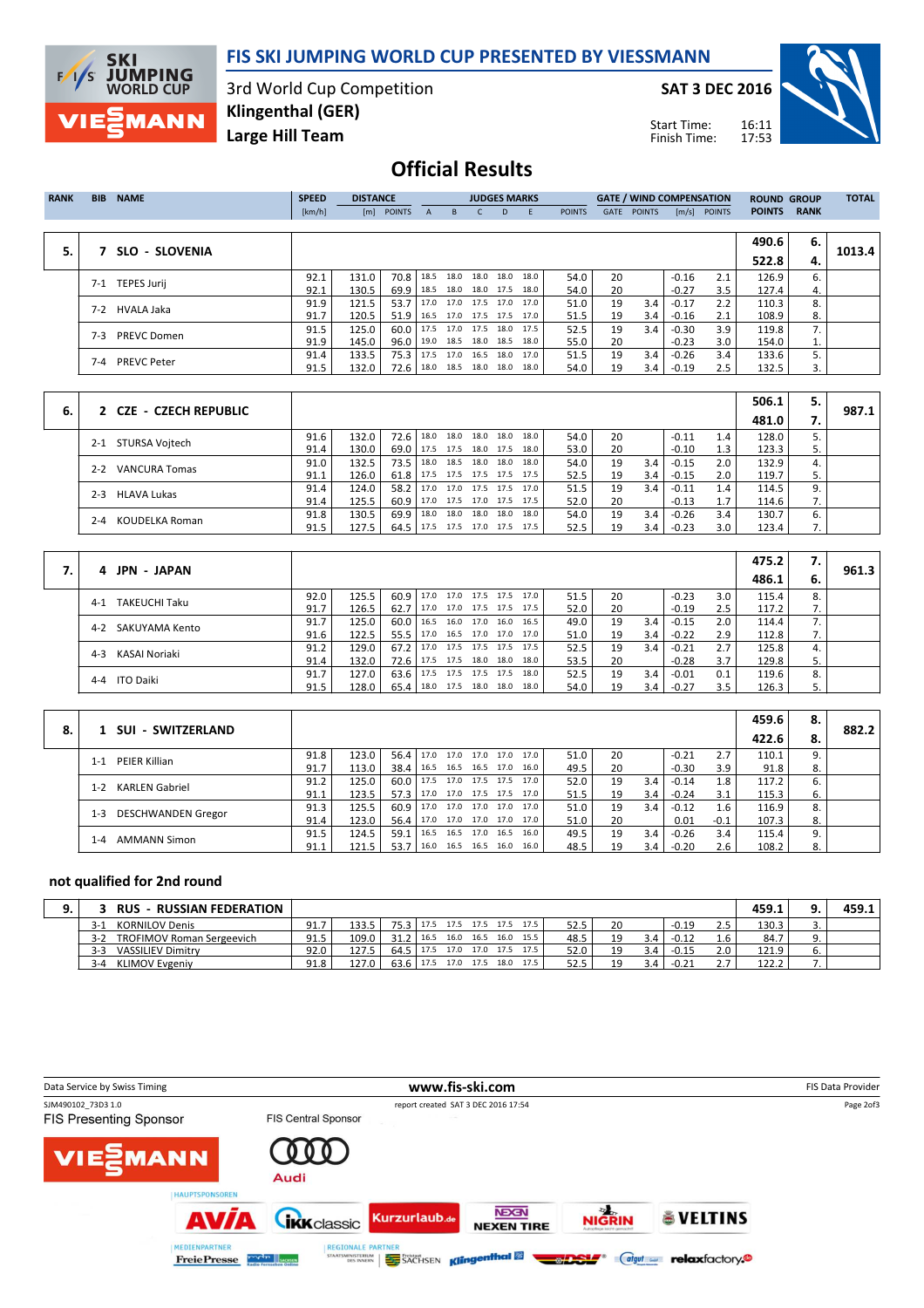

### FIS SKI JUMPING WORLD CUP PRESENTED BY VIESSMANN

3rd World Cup Competition Large Hill Team Klingenthal (GER)

SAT 3 DEC 2016

Start Time: Finish Time:



## Official Results

| <b>RANK</b> | <b>BIB</b> | <b>NAME</b>        | <b>SPEED</b> | <b>DISTANCE</b> |               |      | <b>JUDGES MARKS</b>      |                |    |      |               | <b>GATE / WIND COMPENSATION</b> |               |                     | <b>ROUND GROUP</b> |               | <b>TOTAL</b> |        |
|-------------|------------|--------------------|--------------|-----------------|---------------|------|--------------------------|----------------|----|------|---------------|---------------------------------|---------------|---------------------|--------------------|---------------|--------------|--------|
|             |            |                    | [km/h]       | [m]             | <b>POINTS</b> | A    | B.                       |                | D. |      | <b>POINTS</b> | GATE                            | <b>POINTS</b> | $\lceil m/s \rceil$ | <b>POINTS</b>      | <b>POINTS</b> | <b>RANK</b>  |        |
|             |            |                    |              |                 |               |      |                          |                |    |      |               |                                 |               |                     |                    |               |              |        |
|             |            |                    |              |                 |               |      |                          |                |    |      |               |                                 |               |                     |                    | 490.6         | 6.           |        |
| 5.          |            | SLO - SLOVENIA     |              |                 |               |      |                          |                |    |      |               |                                 |               |                     |                    | 522.8         | 4.           | 1013.4 |
|             | 7-1        | <b>TEPES Jurij</b> | 92.1         | 131.0           | 70.8          | 18.5 |                          | 18.0 18.0 18.0 |    | 18.0 | 54.0          | 20                              |               | $-0.16$             | 2.1                | 126.9         | 6.           |        |
|             |            |                    | 92.1         | 130.5           | 69.9          | 18.5 | 18.0                     | 18.0 17.5      |    | 18.0 | 54.0          | 20                              |               | $-0.27$             | 3.5                | 127.4         | 4.           |        |
|             | $7-2$      | HVALA Jaka         | 91.9         | 121.5           | 53.7          |      | 17.0 17.0 17.5 17.0 17.0 |                |    |      | 51.0          | 19                              | 3.4           | $-0.17$             | 2.2                | 110.3         | 8.           |        |
|             |            |                    | 91.7         | 120.5           | 51.9          |      | 16.5 17.0 17.5 17.5      |                |    | 17.0 | 51.5          | 19                              | 3.4           | $-0.16$             | 2.1                | 108.9         | 8.           |        |
|             | 7-3        | <b>PREVC Domen</b> | 91.5         | 125.0           | 60.0          |      | 17.5 17.0 17.5 18.0 17.5 |                |    |      | 52.5          | 19                              | 3.4           | $-0.30$             | 3.9                | 119.8         | 7.           |        |
|             |            |                    | 91.9         | 145.0           | 96.0          | 19.0 | 18.5                     | 18.0 18.5      |    | 18.0 | 55.0          | 20                              |               | $-0.23$             | 3.0                | 154.0         | 1.           |        |
|             |            |                    | 91.4         | 133.5           | 75.3          | 17.5 | 17.0 16.5 18.0 17.0      |                |    |      | 51.5          | 19                              | 3.4           | $-0.26$             | 3.4                | 133.6         | 5.           |        |
|             | $7 - 4$    | <b>PREVC Peter</b> | 91.5         | 132.0           | 72.6          |      | 18.0 18.5 18.0 18.0 18.0 |                |    |      | 54.0          | 19                              | 3.4           | $-0.19$             | 2.5                | 132.5         | 3.           |        |
|             |            |                    |              |                 |               |      |                          |                |    |      |               |                                 |               |                     |                    |               |              |        |

|    |                                 |      |       |                                 |                                 |      |           |                     |      |      |    |     |         |     | 506.1 |     |       |
|----|---------------------------------|------|-------|---------------------------------|---------------------------------|------|-----------|---------------------|------|------|----|-----|---------|-----|-------|-----|-------|
| 6. | 2 CZE - CZECH REPUBLIC          |      |       |                                 |                                 |      |           |                     |      |      |    |     |         |     | 481.0 | . . | 987.1 |
|    | STURSA Vojtech<br>$2 - 1$       | 91.6 | 132.0 | 72.6 18.0                       |                                 |      |           | 18.0 18.0 18.0      | 18.0 | 54.0 | 20 |     | $-0.11$ | 1.4 | 128.0 |     |       |
|    |                                 | 91.4 | 130.0 | 69.0   17.5 17.5                |                                 |      | 18.0 17.5 |                     | 18.0 | 53.0 | 20 |     | $-0.10$ | 1.3 | 123.3 | 5.  |       |
|    | <b>VANCURA Tomas</b><br>$2 - 2$ | 91.0 | 132.5 | 73.5   18.0                     |                                 | 18.5 |           | 18.0 18.0           | 18.0 | 54.0 | 19 | 3.4 | $-0.15$ | 2.0 | 132.9 |     |       |
|    |                                 | 91.1 | 126.0 | 61.8   17.5 17.5 17.5 17.5 17.5 |                                 |      |           |                     |      | 52.5 | 19 | 3.4 | $-0.15$ | 2.0 | 119.7 |     |       |
|    | <b>HLAVA Lukas</b><br>$2 - 3$   | 91.4 | 124.0 | 58.2                            | 17.0                            |      |           | 17.0 17.5 17.5 17.0 |      | 51.5 | 19 | 3.4 | $-0.11$ | 1.4 | 114.5 |     |       |
|    |                                 | 91.4 | 125.5 | 60.9   17.0 17.5 17.0 17.5 17.5 |                                 |      |           |                     |      | 52.0 | 20 |     | $-0.13$ |     | 114.6 |     |       |
|    | KOUDELKA Roman<br>$2 - 4$       | 91.8 | 130.5 | 69.9                            | 18.0                            | 18.0 |           | 18.0 18.0           | 18.0 | 54.0 | 19 | 3.4 | $-0.26$ | 3.4 | 130.7 | 6.  |       |
|    |                                 | 91.5 | 127.5 |                                 | 64.5   17.5 17.5 17.0 17.5 17.5 |      |           |                     |      | 52.5 | 19 | 3.4 | $-0.23$ | 3.0 | 123.4 |     |       |

| 4 JPN - JAPAN      |      |       |               |                                 |      |                |      |      |    |     |         |     | 475.2 | 7.   |       |
|--------------------|------|-------|---------------|---------------------------------|------|----------------|------|------|----|-----|---------|-----|-------|------|-------|
|                    |      |       |               |                                 |      |                |      |      |    |     |         |     | 486.1 | - 6. | 961.3 |
| 4-1 TAKEUCHI Taku  | 92.0 | 125.5 |               | 60.9   17.0 17.0 17.5 17.5 17.0 |      |                |      | 51.5 | 20 |     | $-0.23$ | 3.0 | 115.4 | 8.   |       |
|                    | 91.7 | 126.5 |               | 62.7   17.0 17.0 17.5 17.5 17.5 |      |                |      | 52.0 | 20 |     | $-0.19$ | 2.5 | 117.2 | 7.   |       |
| 4-2 SAKUYAMA Kento | 91.7 | 125.0 | $60.0$   16.5 |                                 | 16.0 | 17.0 16.0      | 16.5 | 49.0 | 19 | 3.4 | $-0.15$ | 2.0 | 114.4 |      |       |
|                    | 91.6 | 122.5 |               | 55.5   17.0 16.5 17.0 17.0 17.0 |      |                |      | 51.0 | 19 | 3.4 | $-0.22$ | 2.9 | 112.8 | 7.   |       |
| 4-3 KASAI Noriaki  | 91.2 | 129.0 | $67.2$   17.0 |                                 | 17.5 | 17.5 17.5 17.5 |      | 52.5 | 19 | 3.4 | $-0.21$ | 2.7 | 125.8 |      |       |
|                    | 91.4 | 132.0 |               | 72.6   17.5 17.5 18.0 18.0      |      |                | 18.0 | 53.5 | 20 |     | $-0.28$ | 3.7 | 129.8 |      |       |
| 4-4 ITO Daiki      | 91.7 | 127.0 | $63.6$   17.5 |                                 |      | 17.5 17.5 17.5 | 18.0 | 52.5 | 19 | 3.4 | $-0.01$ | 0.1 | 119.6 | 8.   |       |
|                    | 91.5 | 128.0 | $65.4$   18.0 |                                 |      | 17.5 18.0 18.0 | 18.0 | 54.0 | 19 | 3.4 | $-0.27$ | 3.5 | 126.3 | 5.   |       |

|    |                            |      |       |                               |      |  |                     |      |      |    |     |         |        | 459.6 | 8. |       |
|----|----------------------------|------|-------|-------------------------------|------|--|---------------------|------|------|----|-----|---------|--------|-------|----|-------|
| 8. | 1 SUI - SWITZERLAND        |      |       |                               |      |  |                     |      |      |    |     |         |        | 422.6 |    | 882.2 |
|    | PEIER Killian<br>$1 - 1$   | 91.8 | 123.0 | 56.4 17.0 17.0 17.0 17.0 17.0 |      |  |                     |      | 51.0 | 20 |     | $-0.21$ | 2.7    | 110.1 |    |       |
|    |                            | 91.7 | 113.0 | 38.4   16.5 16.5 16.5 17.0    |      |  |                     | 16.0 | 49.5 | 20 |     | $-0.30$ | 3.9    | 91.8  | 8. |       |
|    | KARLEN Gabriel<br>$1 - 2$  | 91.2 | 125.0 | $60.0$   17.5                 |      |  | 17.0 17.5 17.5 17.0 |      | 52.0 | 19 | 3.4 | $-0.14$ | 1.8    | 117.2 |    |       |
|    |                            | 91.1 | 123.5 | 57.3 17.0                     |      |  | 17.0 17.5 17.5 17.0 |      | 51.5 | 19 | 3.4 | $-0.24$ | 3.1    | 115.3 | ь. |       |
|    | $1 - 3$                    | 91.3 | 125.5 | 60.9                          | 17.0 |  | 17.0 17.0 17.0 17.0 |      | 51.0 | 19 | 3.4 | $-0.12$ | 1.6    | 116.9 |    |       |
|    | DESCHWANDEN Gregor         | 91.4 | 123.0 | 56.4                          | 17.0 |  | 17.0 17.0 17.0 17.0 |      | 51.0 | 20 |     | 0.01    | $-0.1$ | 107.3 |    |       |
|    | <b>AMMANN Simon</b><br>1-4 | 91.5 | 124.5 | 59.1                          | 16.5 |  | 16.5 17.0 16.5      | 16.0 | 49.5 | 19 | 3.4 | $-0.26$ | 3.4    | 115.4 |    |       |
|    |                            | 91.1 | 121.5 | 53.7                          | 16.0 |  | 16.5 16.5 16.0      | 16.0 | 48.5 | 19 | 3.4 | $-0.20$ | 2.6    | 108.2 | 8. |       |

### not qualified for 2nd round

| <b>RUS</b><br>- RUSSIAN FEDERATION          |      |       |               |                          |           |           |                     |      |      |    |     |         |            | 459.1 | 459.1 |
|---------------------------------------------|------|-------|---------------|--------------------------|-----------|-----------|---------------------|------|------|----|-----|---------|------------|-------|-------|
| <b>KORNILOV Denis</b><br>$3-1$              | 91.7 | 133.5 | $75.3$        | 17.5 17.5 17.5 17.5 17.5 |           |           |                     |      | 52.5 | 20 |     | $-0.19$ | າ ເ<br>د.ء | 130.3 |       |
| <b>TROFIMOV Roman Sergeevich</b><br>$3 - 2$ | 91.5 | 109.0 | $31.2$   16.5 |                          | 16.0      | 16.5 16.0 |                     | 15.5 | 48.5 | 19 | 3.4 | $-0.12$ |            | 84.7  |       |
| <b>VASSILIEV Dimitry</b><br>$3 - 3$         | 92.0 | 127.5 | 64.5          | 17.5                     |           |           | 17.0 17.0 17.5 17.5 |      | 52.0 |    | 3.4 | $-0.15$ | 2.0        | 121.9 |       |
| KLIMOV Evgeniy<br>$3 - 4$                   | 91.8 | 127.0 | 63.6          | 17.5                     | 17.0 17.5 |           | 18.0                | 17.5 | 52.5 | ۱۵ | 3.4 | $-0.21$ | 77<br>د.ء  | 122.2 |       |